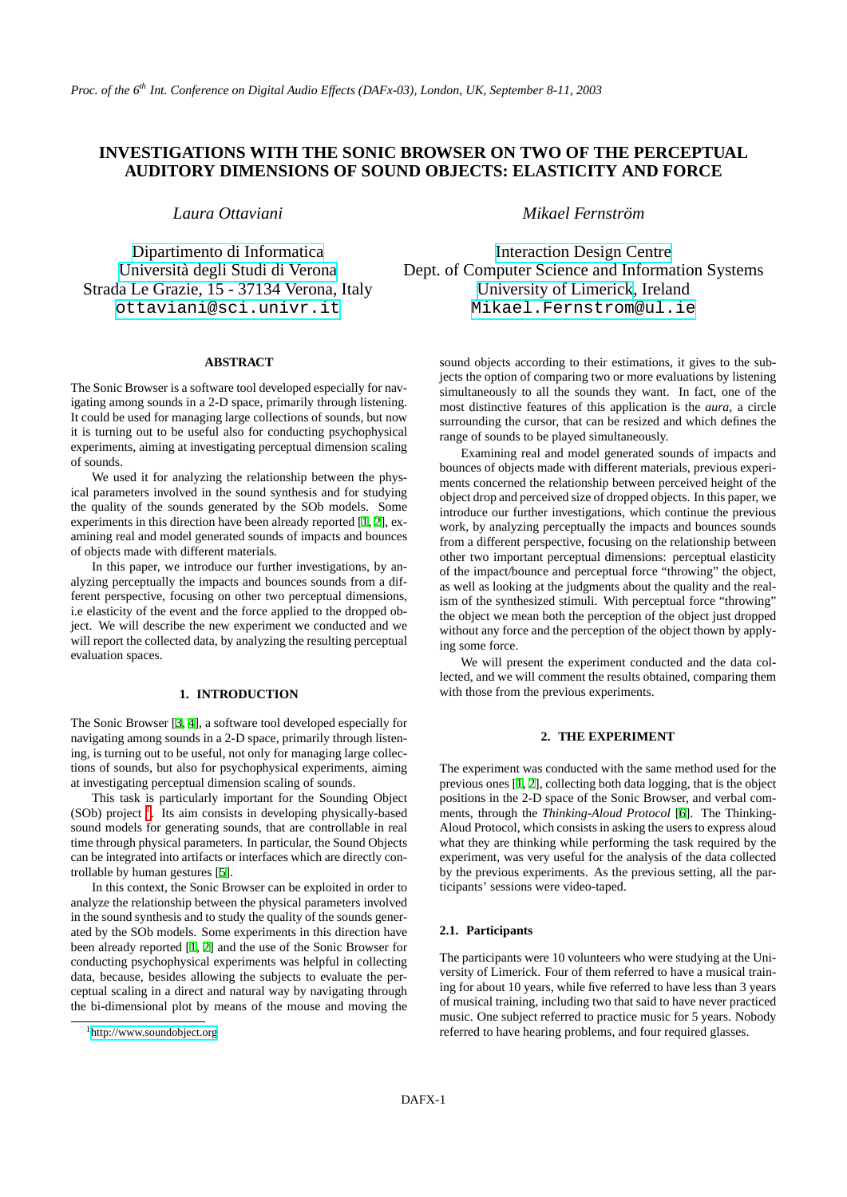# **INVESTIGATIONS WITH THE SONIC BROWSER ON TWO OF THE PERCEPTUAL AUDITORY DIMENSIONS OF SOUND OBJECTS: ELASTICITY AND FORCE**

*Laura Ottaviani*

[Dipartimento di Informatica](http://www.scienze.univr.it) [Universita degli Studi di Verona](http://www.univr.it) ` Strada Le Grazie, 15 - 37134 Verona, Italy [ottaviani@sci.univr.it](mailto:ottaviani@sci.univr.it)

#### **ABSTRACT**

The Sonic Browser is a software tool developed especially for navigating among sounds in a 2-D space, primarily through listening. It could be used for managing large collections of sounds, but now it is turning out to be useful also for conducting psychophysical experiments, aiming at investigating perceptual dimension scaling of sounds.

We used it for analyzing the relationship between the physical parameters involved in the sound synthesis and for studying the quality of the sounds generated by the SOb models. Some experiments in this direction have been already reported [\[1,](#page-4-0) [2\]](#page-4-1), examining real and model generated sounds of impacts and bounces of objects made with different materials.

In this paper, we introduce our further investigations, by analyzing perceptually the impacts and bounces sounds from a different perspective, focusing on other two perceptual dimensions, i.e elasticity of the event and the force applied to the dropped object. We will describe the new experiment we conducted and we will report the collected data, by analyzing the resulting perceptual evaluation spaces.

#### **1. INTRODUCTION**

The Sonic Browser [[3](#page-4-2), [4\]](#page-4-3), a software tool developed especially for navigating among sounds in a 2-D space, primarily through listening, is turning out to be useful, not only for managing large collections of sounds, but also for psychophysical experiments, aiming at investigating perceptual dimension scaling of sounds.

This task is particularly important for the Sounding Object  $(SOb)$  project  $<sup>1</sup>$  $<sup>1</sup>$  $<sup>1</sup>$ . Its aim consists in developing physically-based</sup> sound models for generating sounds, that are controllable in real time through physical parameters. In particular, the Sound Objects can be integrated into artifacts or interfaces which are directly controllable by human gestures [\[5\]](#page-4-4).

In this context, the Sonic Browser can be exploited in order to analyze the relationship between the physical parameters involved in the sound synthesis and to study the quality of the sounds generated by the SOb models. Some experiments in this direction have been already reported [[1](#page-4-0), [2](#page-4-1)] and the use of the Sonic Browser for conducting psychophysical experiments was helpful in collecting data, because, besides allowing the subjects to evaluate the perceptual scaling in a direct and natural way by navigating through the bi-dimensional plot by means of the mouse and moving the

*Mikael Fernstrom¨*

[Interaction Design Centre](http://www.idc.ul.ie) Dept. of Computer Science and Information Systems [University of Limerick](http://www.ul.ie), Ireland [Mikael.Fernstrom@ul.ie](mailto:Mikael.Fernstrom@ul.ie)

> sound objects according to their estimations, it gives to the subjects the option of comparing two or more evaluations by listening simultaneously to all the sounds they want. In fact, one of the most distinctive features of this application is the *aura*, a circle surrounding the cursor, that can be resized and which defines the range of sounds to be played simultaneously.

> Examining real and model generated sounds of impacts and bounces of objects made with different materials, previous experiments concerned the relationship between perceived height of the object drop and perceived size of dropped objects. In this paper, we introduce our further investigations, which continue the previous work, by analyzing perceptually the impacts and bounces sounds from a different perspective, focusing on the relationship between other two important perceptual dimensions: perceptual elasticity of the impact/bounce and perceptual force "throwing" the object, as well as looking at the judgments about the quality and the realism of the synthesized stimuli. With perceptual force "throwing" the object we mean both the perception of the object just dropped without any force and the perception of the object thown by applying some force.

> We will present the experiment conducted and the data collected, and we will comment the results obtained, comparing them with those from the previous experiments.

#### **2. THE EXPERIMENT**

The experiment was conducted with the same method used for the previous ones [\[1,](#page-4-0) [2](#page-4-1)], collecting both data logging, that is the object positions in the 2-D space of the Sonic Browser, and verbal comments, through the *Thinking-Aloud Protocol* [[6](#page-4-5)]. The Thinking-Aloud Protocol, which consists in asking the users to express aloud what they are thinking while performing the task required by the experiment, was very useful for the analysis of the data collected by the previous experiments. As the previous setting, all the participants' sessions were video-taped.

### **2.1. Participants**

The participants were 10 volunteers who were studying at the University of Limerick. Four of them referred to have a musical training for about 10 years, while five referred to have less than 3 years of musical training, including two that said to have never practiced music. One subject referred to practice music for 5 years. Nobody referred to have hearing problems, and four required glasses.

<span id="page-0-0"></span><sup>1</sup><http://www.soundobject.org>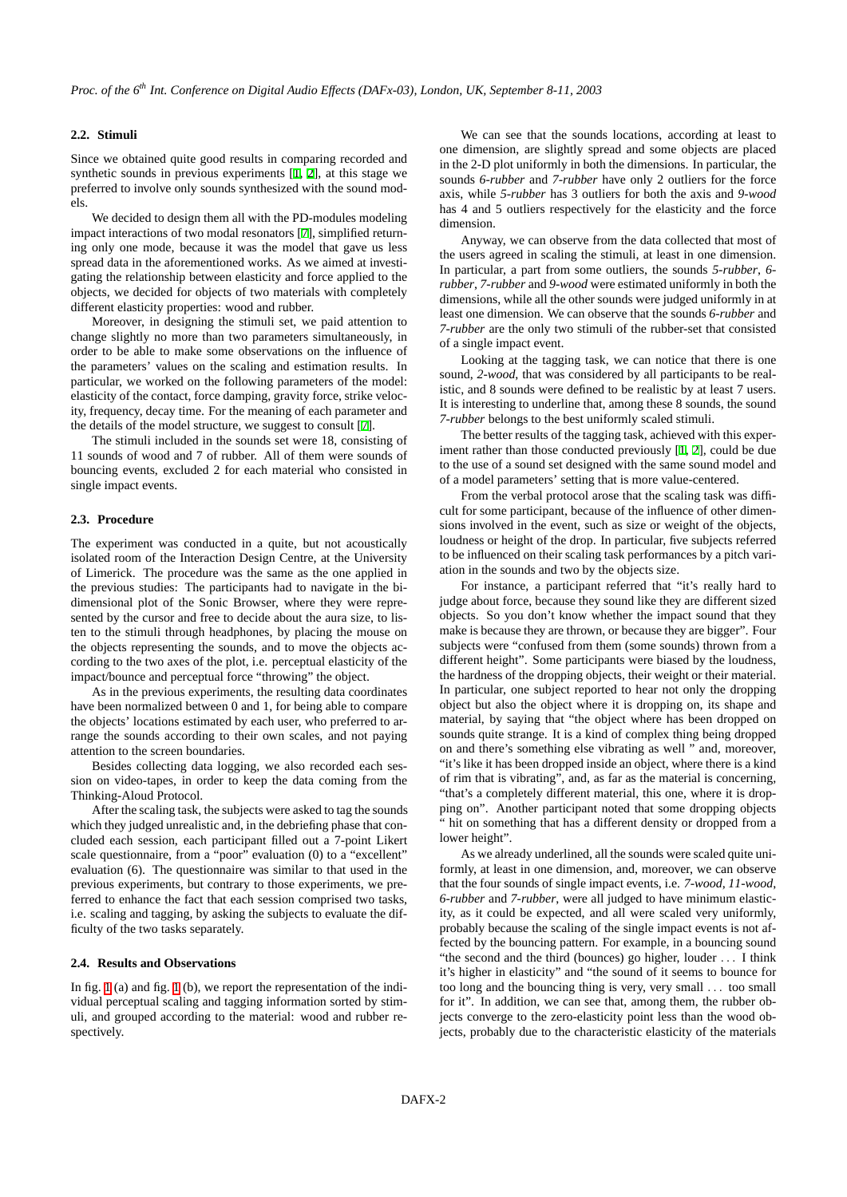## **2.2. Stimuli**

Since we obtained quite good results in comparing recorded and synthetic sounds in previous experiments [\[1,](#page-4-0) [2\]](#page-4-1), at this stage we preferred to involve only sounds synthesized with the sound models.

We decided to design them all with the PD-modules modeling impact interactions of two modal resonators [\[7\]](#page-5-0), simplified returning only one mode, because it was the model that gave us less spread data in the aforementioned works. As we aimed at investigating the relationship between elasticity and force applied to the objects, we decided for objects of two materials with completely different elasticity properties: wood and rubber.

Moreover, in designing the stimuli set, we paid attention to change slightly no more than two parameters simultaneously, in order to be able to make some observations on the influence of the parameters' values on the scaling and estimation results. In particular, we worked on the following parameters of the model: elasticity of the contact, force damping, gravity force, strike velocity, frequency, decay time. For the meaning of each parameter and the details of the model structure, we suggest to consult [\[7\]](#page-5-0).

The stimuli included in the sounds set were 18, consisting of 11 sounds of wood and 7 of rubber. All of them were sounds of bouncing events, excluded 2 for each material who consisted in single impact events.

## **2.3. Procedure**

The experiment was conducted in a quite, but not acoustically isolated room of the Interaction Design Centre, at the University of Limerick. The procedure was the same as the one applied in the previous studies: The participants had to navigate in the bidimensional plot of the Sonic Browser, where they were represented by the cursor and free to decide about the aura size, to listen to the stimuli through headphones, by placing the mouse on the objects representing the sounds, and to move the objects according to the two axes of the plot, i.e. perceptual elasticity of the impact/bounce and perceptual force "throwing" the object.

As in the previous experiments, the resulting data coordinates have been normalized between 0 and 1, for being able to compare the objects' locations estimated by each user, who preferred to arrange the sounds according to their own scales, and not paying attention to the screen boundaries.

Besides collecting data logging, we also recorded each session on video-tapes, in order to keep the data coming from the Thinking-Aloud Protocol.

After the scaling task, the subjects were asked to tag the sounds which they judged unrealistic and, in the debriefing phase that concluded each session, each participant filled out a 7-point Likert scale questionnaire, from a "poor" evaluation (0) to a "excellent" evaluation (6). The questionnaire was similar to that used in the previous experiments, but contrary to those experiments, we preferred to enhance the fact that each session comprised two tasks, i.e. scaling and tagging, by asking the subjects to evaluate the difficulty of the two tasks separately.

#### **2.4. Results and Observations**

In fig. [1](#page-2-0) (a) and fig. [1](#page-2-0) (b), we report the representation of the individual perceptual scaling and tagging information sorted by stimuli, and grouped according to the material: wood and rubber respectively.

We can see that the sounds locations, according at least to one dimension, are slightly spread and some objects are placed in the 2-D plot uniformly in both the dimensions. In particular, the sounds *6-rubber* and *7-rubber* have only 2 outliers for the force axis, while *5-rubber* has 3 outliers for both the axis and *9-wood* has 4 and 5 outliers respectively for the elasticity and the force dimension.

Anyway, we can observe from the data collected that most of the users agreed in scaling the stimuli, at least in one dimension. In particular, a part from some outliers, the sounds *5-rubber*, *6 rubber*, *7-rubber* and *9-wood* were estimated uniformly in both the dimensions, while all the other sounds were judged uniformly in at least one dimension. We can observe that the sounds *6-rubber* and *7-rubber* are the only two stimuli of the rubber-set that consisted of a single impact event.

Looking at the tagging task, we can notice that there is one sound, *2-wood*, that was considered by all participants to be realistic, and 8 sounds were defined to be realistic by at least 7 users. It is interesting to underline that, among these 8 sounds, the sound *7-rubber* belongs to the best uniformly scaled stimuli.

The better results of the tagging task, achieved with this experiment rather than those conducted previously [[1](#page-4-0), [2](#page-4-1)], could be due to the use of a sound set designed with the same sound model and of a model parameters' setting that is more value-centered.

From the verbal protocol arose that the scaling task was difficult for some participant, because of the influence of other dimensions involved in the event, such as size or weight of the objects, loudness or height of the drop. In particular, five subjects referred to be influenced on their scaling task performances by a pitch variation in the sounds and two by the objects size.

For instance, a participant referred that "it's really hard to judge about force, because they sound like they are different sized objects. So you don't know whether the impact sound that they make is because they are thrown, or because they are bigger". Four subjects were "confused from them (some sounds) thrown from a different height". Some participants were biased by the loudness, the hardness of the dropping objects, their weight or their material. In particular, one subject reported to hear not only the dropping object but also the object where it is dropping on, its shape and material, by saying that "the object where has been dropped on sounds quite strange. It is a kind of complex thing being dropped on and there's something else vibrating as well " and, moreover, "it's like it has been dropped inside an object, where there is a kind of rim that is vibrating", and, as far as the material is concerning, "that's a completely different material, this one, where it is dropping on". Another participant noted that some dropping objects " hit on something that has a different density or dropped from a lower height".

As we already underlined, all the sounds were scaled quite uniformly, at least in one dimension, and, moreover, we can observe that the four sounds of single impact events, i.e. *7-wood*, *11-wood*, *6-rubber* and *7-rubber*, were all judged to have minimum elasticity, as it could be expected, and all were scaled very uniformly, probably because the scaling of the single impact events is not affected by the bouncing pattern. For example, in a bouncing sound "the second and the third (bounces) go higher, louder . . . I think it's higher in elasticity" and "the sound of it seems to bounce for too long and the bouncing thing is very, very small . . . too small for it". In addition, we can see that, among them, the rubber objects converge to the zero-elasticity point less than the wood objects, probably due to the characteristic elasticity of the materials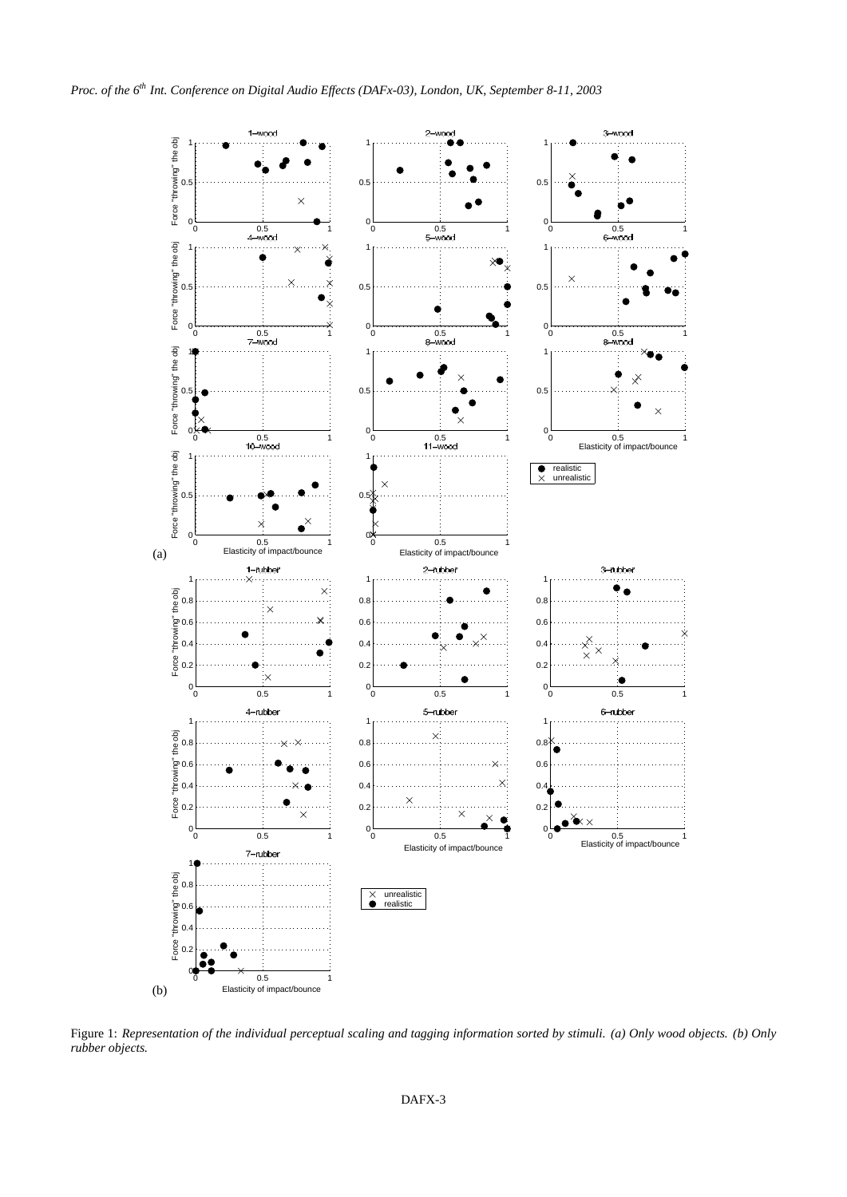

<span id="page-2-0"></span>Figure 1: *Representation of the individual perceptual scaling and tagging information sorted by stimuli. (a) Only wood objects. (b) Only rubber objects.*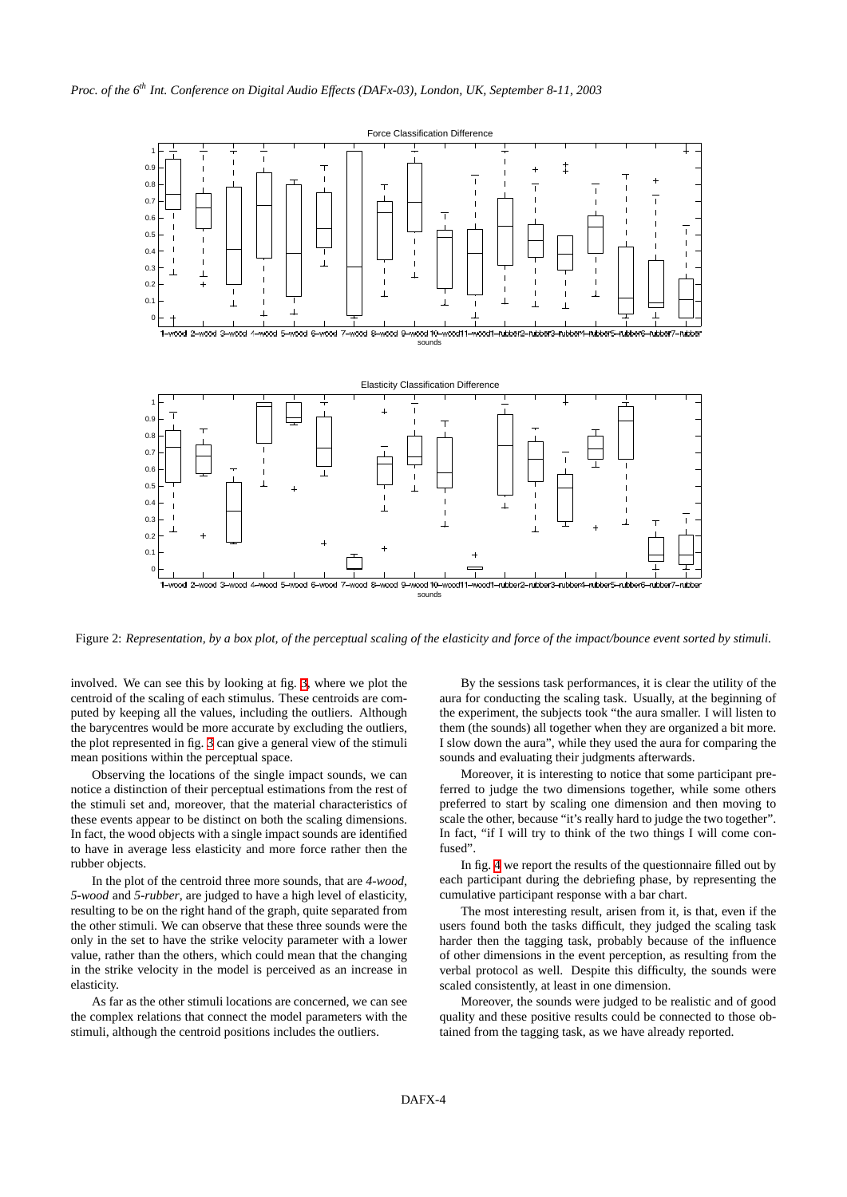

Figure 2: *Representation, by a box plot, of the perceptual scaling of the elasticity and force of the impact/bounce event sorted by stimuli.*

involved. We can see this by looking at fig. [3,](#page-4-6) where we plot the centroid of the scaling of each stimulus. These centroids are computed by keeping all the values, including the outliers. Although the barycentres would be more accurate by excluding the outliers, the plot represented in fig. [3](#page-4-6) can give a general view of the stimuli mean positions within the perceptual space.

Observing the locations of the single impact sounds, we can notice a distinction of their perceptual estimations from the rest of the stimuli set and, moreover, that the material characteristics of these events appear to be distinct on both the scaling dimensions. In fact, the wood objects with a single impact sounds are identified to have in average less elasticity and more force rather then the rubber objects.

In the plot of the centroid three more sounds, that are *4-wood*, *5-wood* and *5-rubber*, are judged to have a high level of elasticity, resulting to be on the right hand of the graph, quite separated from the other stimuli. We can observe that these three sounds were the only in the set to have the strike velocity parameter with a lower value, rather than the others, which could mean that the changing in the strike velocity in the model is perceived as an increase in elasticity.

As far as the other stimuli locations are concerned, we can see the complex relations that connect the model parameters with the stimuli, although the centroid positions includes the outliers.

By the sessions task performances, it is clear the utility of the aura for conducting the scaling task. Usually, at the beginning of the experiment, the subjects took "the aura smaller. I will listen to them (the sounds) all together when they are organized a bit more. I slow down the aura", while they used the aura for comparing the sounds and evaluating their judgments afterwards.

Moreover, it is interesting to notice that some participant preferred to judge the two dimensions together, while some others preferred to start by scaling one dimension and then moving to scale the other, because "it's really hard to judge the two together". In fact, "if I will try to think of the two things I will come confused".

In fig. [4](#page-4-7) we report the results of the questionnaire filled out by each participant during the debriefing phase, by representing the cumulative participant response with a bar chart.

The most interesting result, arisen from it, is that, even if the users found both the tasks difficult, they judged the scaling task harder then the tagging task, probably because of the influence of other dimensions in the event perception, as resulting from the verbal protocol as well. Despite this difficulty, the sounds were scaled consistently, at least in one dimension.

Moreover, the sounds were judged to be realistic and of good quality and these positive results could be connected to those obtained from the tagging task, as we have already reported.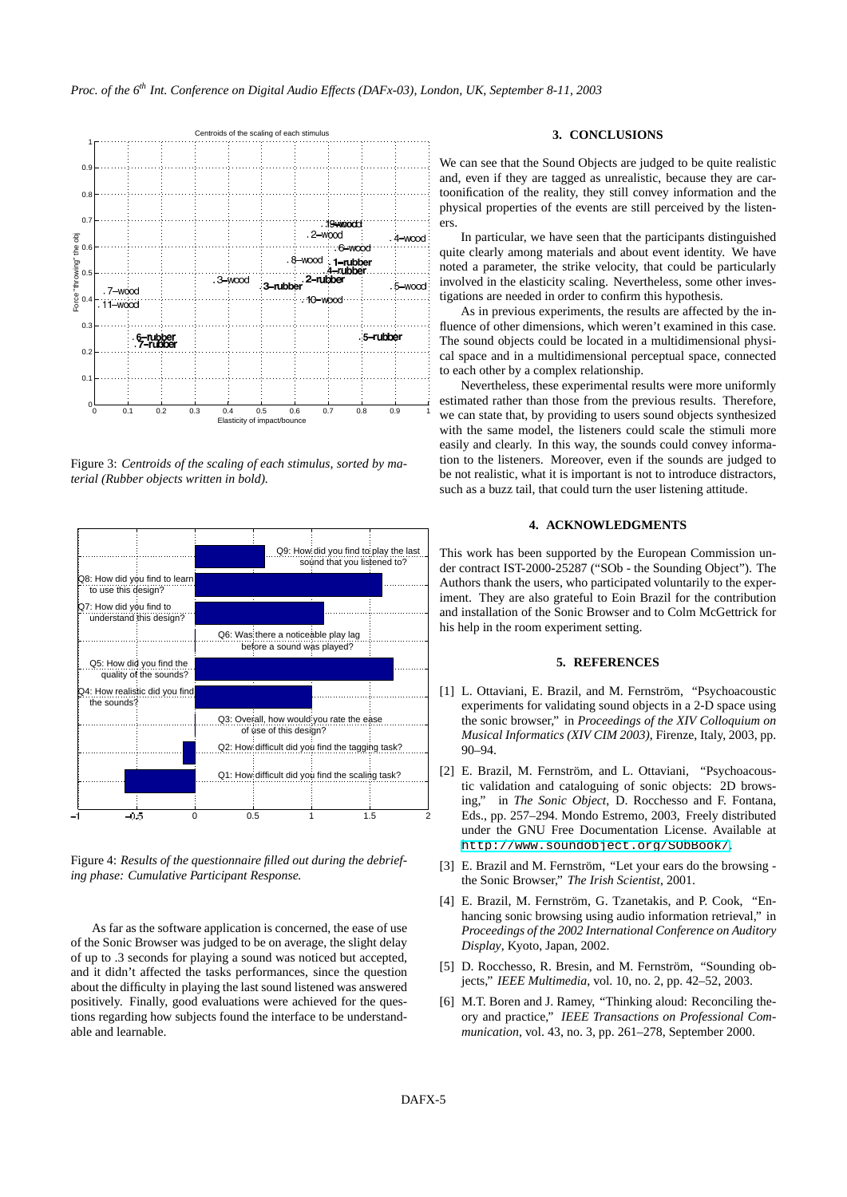

<span id="page-4-6"></span>Figure 3: *Centroids of the scaling of each stimulus, sorted by material (Rubber objects written in bold).*



<span id="page-4-7"></span>Figure 4: *Results of the questionnaire filled out during the debriefing phase: Cumulative Participant Response.*

As far as the software application is concerned, the ease of use of the Sonic Browser was judged to be on average, the slight delay of up to .3 seconds for playing a sound was noticed but accepted, and it didn't affected the tasks performances, since the question about the difficulty in playing the last sound listened was answered positively. Finally, good evaluations were achieved for the questions regarding how subjects found the interface to be understandable and learnable.

## **3. CONCLUSIONS**

We can see that the Sound Objects are judged to be quite realistic and, even if they are tagged as unrealistic, because they are cartoonification of the reality, they still convey information and the physical properties of the events are still perceived by the listeners.

In particular, we have seen that the participants distinguished quite clearly among materials and about event identity. We have noted a parameter, the strike velocity, that could be particularly involved in the elasticity scaling. Nevertheless, some other investigations are needed in order to confirm this hypothesis.

As in previous experiments, the results are affected by the influence of other dimensions, which weren't examined in this case. The sound objects could be located in a multidimensional physical space and in a multidimensional perceptual space, connected to each other by a complex relationship.

Nevertheless, these experimental results were more uniformly estimated rather than those from the previous results. Therefore, we can state that, by providing to users sound objects synthesized with the same model, the listeners could scale the stimuli more easily and clearly. In this way, the sounds could convey information to the listeners. Moreover, even if the sounds are judged to be not realistic, what it is important is not to introduce distractors, such as a buzz tail, that could turn the user listening attitude.

## **4. ACKNOWLEDGMENTS**

This work has been supported by the European Commission under contract IST-2000-25287 ("SOb - the Sounding Object"). The Authors thank the users, who participated voluntarily to the experiment. They are also grateful to Eoin Brazil for the contribution and installation of the Sonic Browser and to Colm McGettrick for his help in the room experiment setting.

#### **5. REFERENCES**

- <span id="page-4-0"></span>[1] L. Ottaviani, E. Brazil, and M. Fernström, "Psychoacoustic experiments for validating sound objects in a 2-D space using the sonic browser," in *Proceedings of the XIV Colloquium on Musical Informatics (XIV CIM 2003)*, Firenze, Italy, 2003, pp. 90–94.
- <span id="page-4-1"></span>[2] E. Brazil, M. Fernström, and L. Ottaviani, "Psychoacoustic validation and cataloguing of sonic objects: 2D browsing," in *The Sonic Object*, D. Rocchesso and F. Fontana, Eds., pp. 257–294. Mondo Estremo, 2003, Freely distributed under the GNU Free Documentation License. Available at <http://www.soundobject.org/SObBook/>.
- <span id="page-4-2"></span>[3] E. Brazil and M. Fernström, "Let your ears do the browsing the Sonic Browser," *The Irish Scientist*, 2001.
- <span id="page-4-3"></span>[4] E. Brazil, M. Fernström, G. Tzanetakis, and P. Cook, "Enhancing sonic browsing using audio information retrieval," in *Proceedings of the 2002 International Conference on Auditory Display*, Kyoto, Japan, 2002.
- <span id="page-4-4"></span>[5] D. Rocchesso, R. Bresin, and M. Fernström, "Sounding objects," *IEEE Multimedia*, vol. 10, no. 2, pp. 42–52, 2003.
- <span id="page-4-5"></span>[6] M.T. Boren and J. Ramey, "Thinking aloud: Reconciling theory and practice," *IEEE Transactions on Professional Communication*, vol. 43, no. 3, pp. 261–278, September 2000.